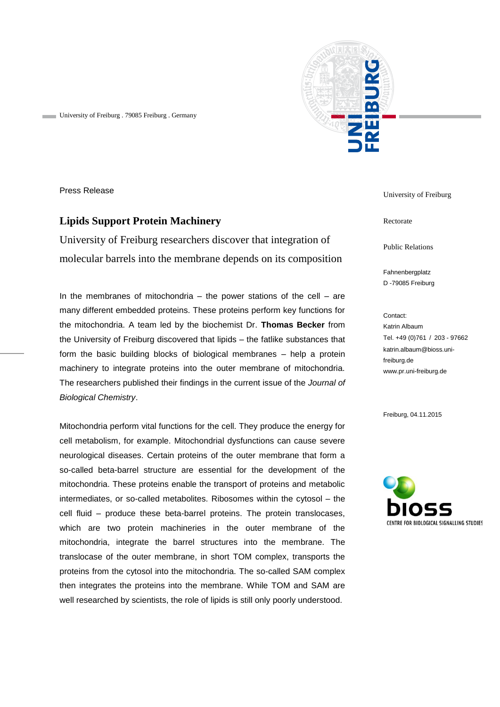

University of Freiburg . 79085 Freiburg . Germany

Press Release

## **Lipids Support Protein Machinery**

University of Freiburg researchers discover that integration of molecular barrels into the membrane depends on its composition

In the membranes of mitochondria  $-$  the power stations of the cell  $-$  are many different embedded proteins. These proteins perform key functions for the mitochondria. A team led by the biochemist Dr. **Thomas Becker** from the University of Freiburg discovered that lipids – the fatlike substances that form the basic building blocks of biological membranes – help a protein machinery to integrate proteins into the outer membrane of mitochondria. The researchers published their findings in the current issue of the *Journal of Biological Chemistry*.

Mitochondria perform vital functions for the cell. They produce the energy for cell metabolism, for example. Mitochondrial dysfunctions can cause severe neurological diseases. Certain proteins of the outer membrane that form a so-called beta-barrel structure are essential for the development of the mitochondria. These proteins enable the transport of proteins and metabolic intermediates, or so-called metabolites. Ribosomes within the cytosol – the cell fluid – produce these beta-barrel proteins. The protein translocases, which are two protein machineries in the outer membrane of the mitochondria, integrate the barrel structures into the membrane. The translocase of the outer membrane, in short TOM complex, transports the proteins from the cytosol into the mitochondria. The so-called SAM complex then integrates the proteins into the membrane. While TOM and SAM are well researched by scientists, the role of lipids is still only poorly understood.

University of Freiburg

Rectorate

Public Relations

Fahnenbergplatz D -79085 Freiburg

Contact: Katrin Albaum Tel. +49 (0)761 / 203 - 97662 katrin.albaum@bioss.unifreiburg.de www.pr.uni-freiburg.de

Freiburg, 04.11.2015

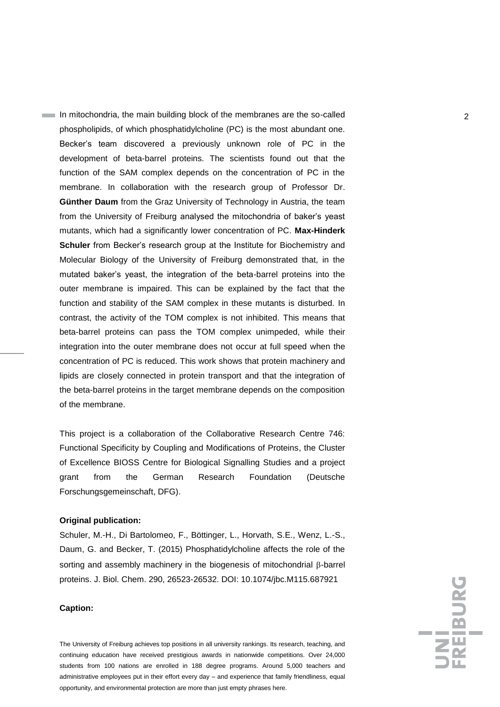In mitochondria, the main building block of the membranes are the so-called 2 phospholipids, of which phosphatidylcholine (PC) is the most abundant one. Becker's team discovered a previously unknown role of PC in the development of beta-barrel proteins. The scientists found out that the function of the SAM complex depends on the concentration of PC in the membrane. In collaboration with the research group of Professor Dr. **Günther Daum** from the Graz University of Technology in Austria, the team from the University of Freiburg analysed the mitochondria of baker's yeast mutants, which had a significantly lower concentration of PC. **Max-Hinderk Schuler** from Becker's research group at the Institute for Biochemistry and Molecular Biology of the University of Freiburg demonstrated that, in the mutated baker's yeast, the integration of the beta-barrel proteins into the outer membrane is impaired. This can be explained by the fact that the function and stability of the SAM complex in these mutants is disturbed. In contrast, the activity of the TOM complex is not inhibited. This means that beta-barrel proteins can pass the TOM complex unimpeded, while their integration into the outer membrane does not occur at full speed when the concentration of PC is reduced. This work shows that protein machinery and lipids are closely connected in protein transport and that the integration of the beta-barrel proteins in the target membrane depends on the composition of the membrane.

This project is a collaboration of the Collaborative Research Centre 746: Functional Specificity by Coupling and Modifications of Proteins, the Cluster of Excellence BIOSS Centre for Biological Signalling Studies and a project grant from the German Research Foundation (Deutsche Forschungsgemeinschaft, DFG).

## **Original publication:**

Schuler, M.-H., Di Bartolomeo, F., Böttinger, L., Horvath, S.E., Wenz, L.-S., Daum, G. and Becker, T. (2015) Phosphatidylcholine affects the role of the sorting and assembly machinery in the biogenesis of mitochondrial  $\beta$ -barrel proteins. J. Biol. Chem. 290, 26523-26532. DOI: 10.1074/jbc.M115.687921

## **Caption:**

The University of Freiburg achieves top positions in all university rankings. Its research, teaching, and continuing education have received prestigious awards in nationwide competitions. Over 24,000 students from 100 nations are enrolled in 188 degree programs. Around 5,000 teachers and administrative employees put in their effort every day – and experience that family friendliness, equal opportunity, and environmental protection are more than just empty phrases here.